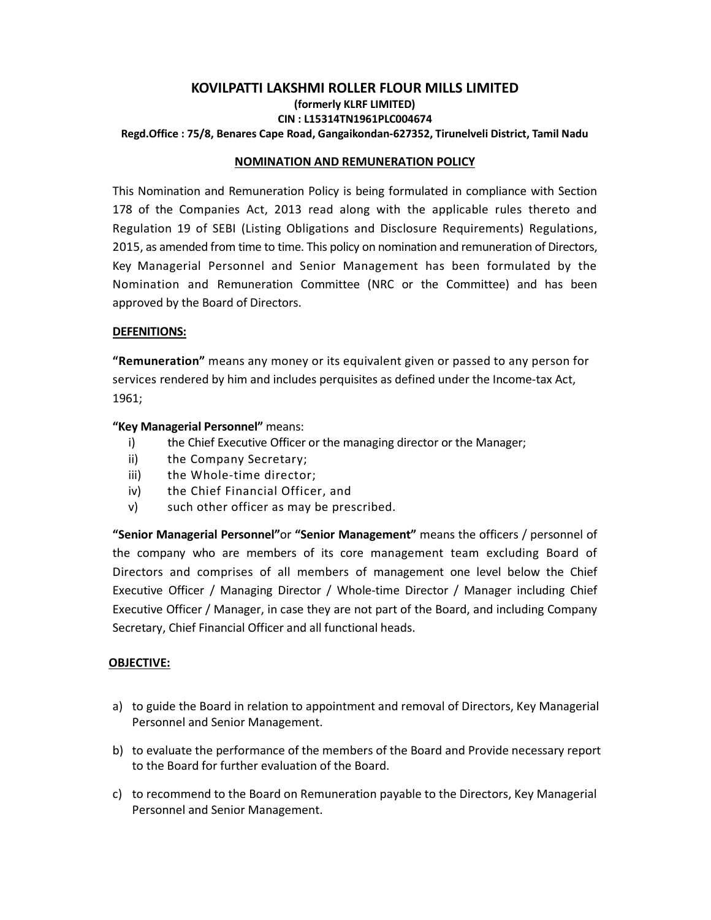## **KOVILPATTI LAKSHMI ROLLER FLOUR MILLS LIMITED (formerly KLRF LIMITED) CIN : L15314TN1961PLC004674 Regd.Office : 75/8, Benares Cape Road, Gangaikondan-627352, Tirunelveli District, Tamil Nadu**

#### **NOMINATION AND REMUNERATION POLICY**

This Nomination and Remuneration Policy is being formulated in compliance with Section 178 of the Companies Act, 2013 read along with the applicable rules thereto and Regulation 19 of SEBI (Listing Obligations and Disclosure Requirements) Regulations, 2015, as amended from time to time. This policy on nomination and remuneration of Directors, Key Managerial Personnel and Senior Management has been formulated by the Nomination and Remuneration Committee (NRC or the Committee) and has been approved by the Board of Directors.

#### **DEFENITIONS:**

**"Remuneration"** means any money or its equivalent given or passed to any person for services rendered by him and includes perquisites as defined under the Income-tax Act, 1961;

#### **"Key Managerial Personnel"** means:

- i) the Chief Executive Officer or the managing director or the Manager;
- ii) the Company Secretary;
- iii) the Whole-time director;
- iv) the Chief Financial Officer, and
- v) such other officer as may be prescribed.

**"Senior Managerial Personnel"**or **"Senior Management"** means the officers / personnel of the company who are members of its core management team excluding Board of Directors and comprises of all members of management one level below the Chief Executive Officer / Managing Director / Whole-time Director / Manager including Chief Executive Officer / Manager, in case they are not part of the Board, and including Company Secretary, Chief Financial Officer and all functional heads.

## **OBJECTIVE:**

- a) to guide the Board in relation to appointment and removal of Directors, Key Managerial Personnel and Senior Management.
- b) to evaluate the performance of the members of the Board and Provide necessary report to the Board for further evaluation of the Board.
- c) to recommend to the Board on Remuneration payable to the Directors, Key Managerial Personnel and Senior Management.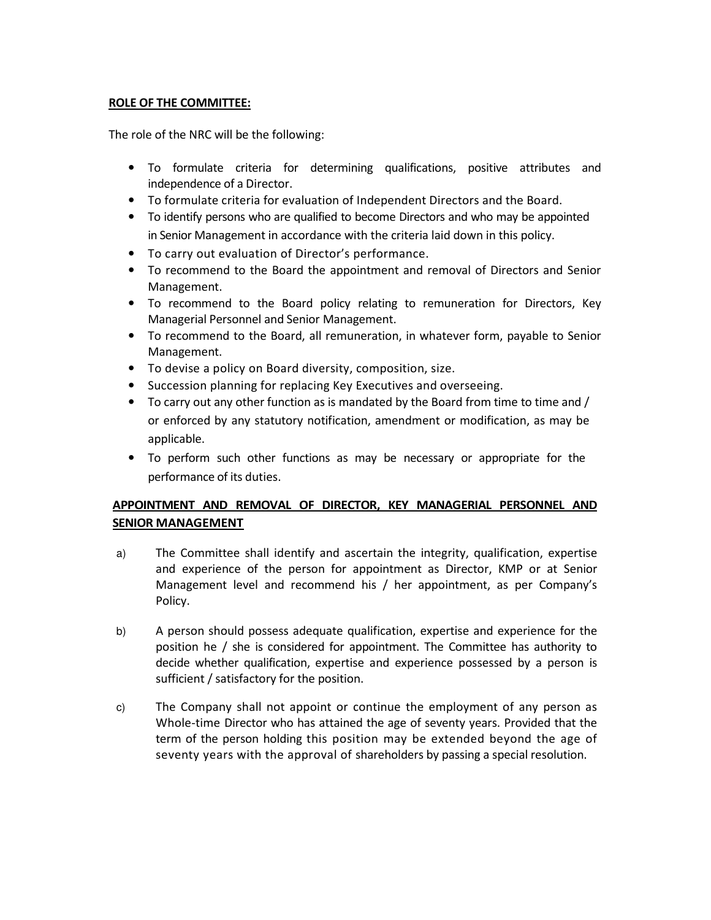#### **ROLE OF THE COMMITTEE:**

The role of the NRC will be the following:

- To formulate criteria for determining qualifications, positive attributes and independence of a Director.
- To formulate criteria for evaluation of Independent Directors and the Board.
- To identify persons who are qualified to become Directors and who may be appointed in Senior Management in accordance with the criteria laid down in this policy.
- To carry out evaluation of Director's performance.
- To recommend to the Board the appointment and removal of Directors and Senior Management.
- To recommend to the Board policy relating to remuneration for Directors, Key Managerial Personnel and Senior Management.
- To recommend to the Board, all remuneration, in whatever form, payable to Senior Management.
- To devise a policy on Board diversity, composition, size.
- Succession planning for replacing Key Executives and overseeing.
- To carry out any other function as is mandated by the Board from time to time and / or enforced by any statutory notification, amendment or modification, as may be applicable.
- To perform such other functions as may be necessary or appropriate for the performance of its duties.

# **APPOINTMENT AND REMOVAL OF DIRECTOR, KEY MANAGERIAL PERSONNEL AND SENIOR MANAGEMENT**

- a) The Committee shall identify and ascertain the integrity, qualification, expertise and experience of the person for appointment as Director, KMP or at Senior Management level and recommend his / her appointment, as per Company's Policy.
- b) A person should possess adequate qualification, expertise and experience for the position he / she is considered for appointment. The Committee has authority to decide whether qualification, expertise and experience possessed by a person is sufficient / satisfactory for the position.
- c) The Company shall not appoint or continue the employment of any person as Whole-time Director who has attained the age of seventy years. Provided that the term of the person holding this position may be extended beyond the age of seventy years with the approval of shareholders by passing a special resolution.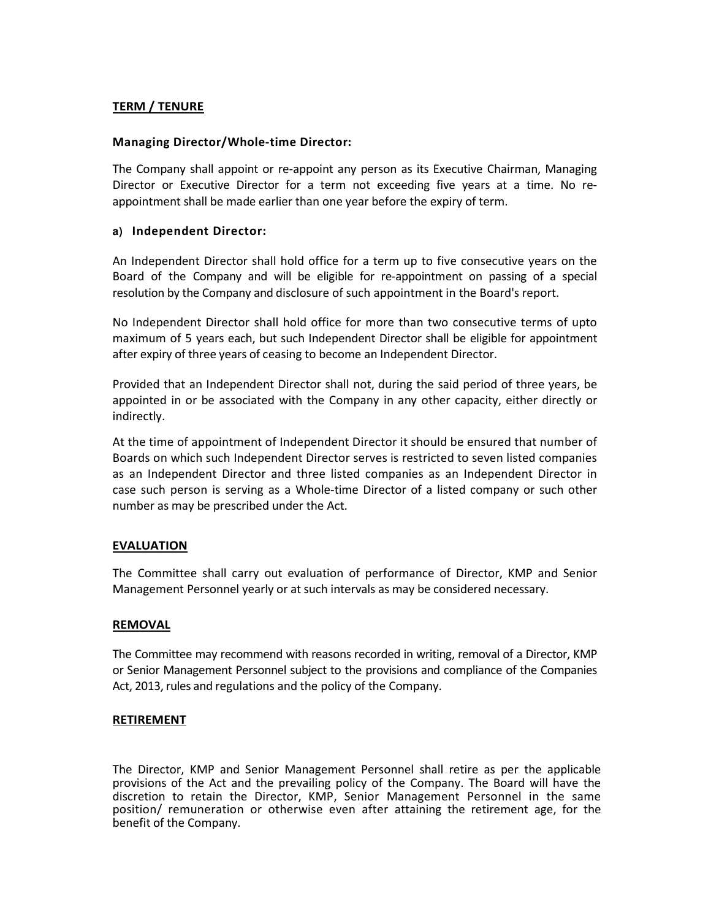# **TERM / TENURE**

#### **Managing Director/Whole-time Director:**

The Company shall appoint or re-appoint any person as its Executive Chairman, Managing Director or Executive Director for a term not exceeding five years at a time. No reappointment shall be made earlier than one year before the expiry of term.

#### **a) Independent Director:**

An Independent Director shall hold office for a term up to five consecutive years on the Board of the Company and will be eligible for re-appointment on passing of a special resolution by the Company and disclosure of such appointment in the Board's report.

No Independent Director shall hold office for more than two consecutive terms of upto maximum of 5 years each, but such Independent Director shall be eligible for appointment after expiry of three years of ceasing to become an Independent Director.

Provided that an Independent Director shall not, during the said period of three years, be appointed in or be associated with the Company in any other capacity, either directly or indirectly.

At the time of appointment of Independent Director it should be ensured that number of Boards on which such Independent Director serves is restricted to seven listed companies as an Independent Director and three listed companies as an Independent Director in case such person is serving as a Whole-time Director of a listed company or such other number as may be prescribed under the Act.

## **EVALUATION**

The Committee shall carry out evaluation of performance of Director, KMP and Senior Management Personnel yearly or at such intervals as may be considered necessary.

#### **REMOVAL**

The Committee may recommend with reasons recorded in writing, removal of a Director, KMP or Senior Management Personnel subject to the provisions and compliance of the Companies Act, 2013, rules and regulations and the policy of the Company.

#### **RETIREMENT**

The Director, KMP and Senior Management Personnel shall retire as per the applicable provisions of the Act and the prevailing policy of the Company. The Board will have the discretion to retain the Director, KMP, Senior Management Personnel in the same position/ remuneration or otherwise even after attaining the retirement age, for the benefit of the Company.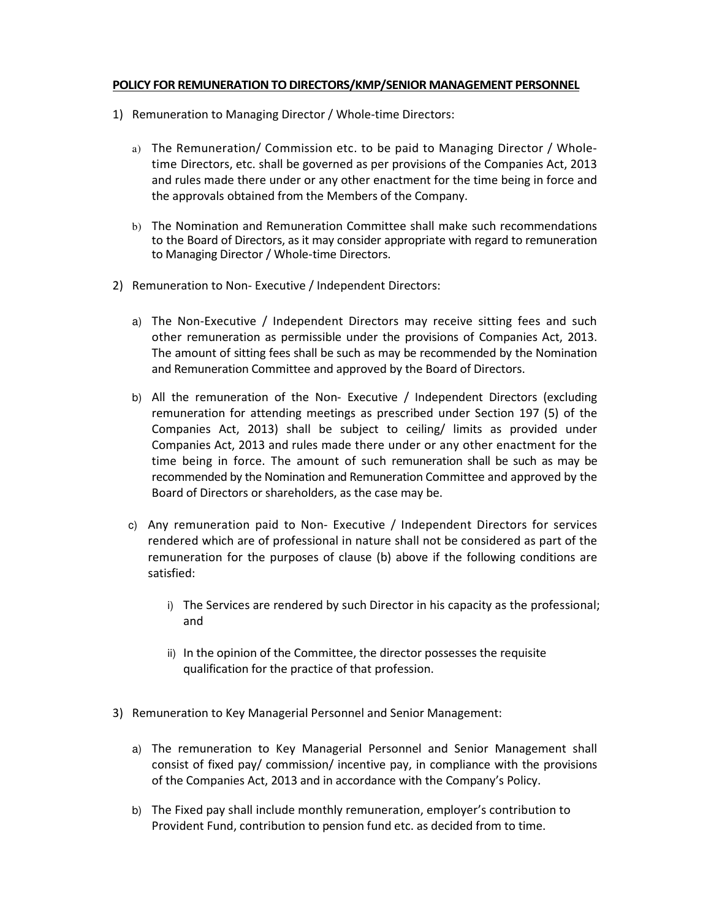#### **POLICY FOR REMUNERATION TO DIRECTORS/KMP/SENIOR MANAGEMENT PERSONNEL**

- 1) Remuneration to Managing Director / Whole-time Directors:
	- a) The Remuneration/ Commission etc. to be paid to Managing Director / Wholetime Directors, etc. shall be governed as per provisions of the Companies Act, 2013 and rules made there under or any other enactment for the time being in force and the approvals obtained from the Members of the Company.
	- b) The Nomination and Remuneration Committee shall make such recommendations to the Board of Directors, as it may consider appropriate with regard to remuneration to Managing Director / Whole-time Directors.
- 2) Remuneration to Non- Executive / Independent Directors:
	- a) The Non-Executive / Independent Directors may receive sitting fees and such other remuneration as permissible under the provisions of Companies Act, 2013. The amount of sitting fees shall be such as may be recommended by the Nomination and Remuneration Committee and approved by the Board of Directors.
	- b) All the remuneration of the Non- Executive / Independent Directors (excluding remuneration for attending meetings as prescribed under Section 197 (5) of the Companies Act, 2013) shall be subject to ceiling/ limits as provided under Companies Act, 2013 and rules made there under or any other enactment for the time being in force. The amount of such remuneration shall be such as may be recommended by the Nomination and Remuneration Committee and approved by the Board of Directors or shareholders, as the case may be.
	- c) Any remuneration paid to Non- Executive / Independent Directors for services rendered which are of professional in nature shall not be considered as part of the remuneration for the purposes of clause (b) above if the following conditions are satisfied:
		- i) The Services are rendered by such Director in his capacity as the professional; and
		- ii) In the opinion of the Committee, the director possesses the requisite qualification for the practice of that profession.
- 3) Remuneration to Key Managerial Personnel and Senior Management:
	- a) The remuneration to Key Managerial Personnel and Senior Management shall consist of fixed pay/ commission/ incentive pay, in compliance with the provisions of the Companies Act, 2013 and in accordance with the Company's Policy.
	- b) The Fixed pay shall include monthly remuneration, employer's contribution to Provident Fund, contribution to pension fund etc. as decided from to time.